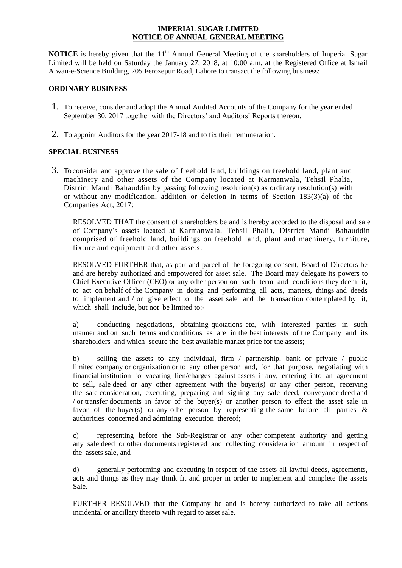#### **IMPERIAL SUGAR LIMITED NOTICE OF ANNUAL GENERAL MEETING**

**NOTICE** is hereby given that the 11<sup>th</sup> Annual General Meeting of the shareholders of Imperial Sugar Limited will be held on Saturday the January 27, 2018, at 10:00 a.m. at the Registered Office at Ismail Aiwan-e-Science Building, 205 Ferozepur Road, Lahore to transact the following business:

#### **ORDINARY BUSINESS**

- 1. To receive, consider and adopt the Annual Audited Accounts of the Company for the year ended September 30, 2017 together with the Directors' and Auditors' Reports thereon.
- 2. To appoint Auditors for the year 2017-18 and to fix their remuneration.

### **SPECIAL BUSINESS**

3. To consider and approve the sale of freehold land, buildings on freehold land, plant and machinery and other assets of the Company located at Karmanwala, Tehsil Phalia, District Mandi Bahauddin by passing following resolution(s) as ordinary resolution(s) with or without any modification, addition or deletion in terms of Section  $183(3)(a)$  of the Companies Act, 2017:

RESOLVED THAT the consent of shareholders be and is hereby accorded to the disposal and sale of Company's assets located at Karmanwala, Tehsil Phalia, District Mandi Bahauddin comprised of freehold land, buildings on freehold land, plant and machinery, furniture, fixture and equipment and other assets.

RESOLVED FURTHER that, as part and parcel of the foregoing consent, Board of Directors be and are hereby authorized and empowered for asset sale. The Board may delegate its powers to Chief Executive Officer (CEO) or any other person on such term and conditions they deem fit, to act on behalf of the Company in doing and performing all acts, matters, things and deeds to implement and / or give effect to the asset sale and the transaction contemplated by it, which shall include, but not be limited to:-

a) conducting negotiations, obtaining quotations etc, with interested parties in such manner and on such terms and conditions as are in the best interests of the Company and its shareholders and which secure the best available market price for the assets;

b) selling the assets to any individual, firm / partnership, bank or private / public limited company or organization or to any other person and, for that purpose, negotiating with financial institution for vacating lien/charges against assets if any, entering into an agreement to sell, sale deed or any other agreement with the buyer(s) or any other person, receiving the sale consideration, executing, preparing and signing any sale deed, conveyance deed and / or transfer documents in favor of the buyer(s) or another person to effect the asset sale in favor of the buyer(s) or any other person by representing the same before all parties  $\&$ authorities concerned and admitting execution thereof;

c) representing before the Sub-Registrar or any other competent authority and getting any sale deed or other documents registered and collecting consideration amount in respect of the assets sale, and

d) generally performing and executing in respect of the assets all lawful deeds, agreements, acts and things as they may think fit and proper in order to implement and complete the assets Sale.

FURTHER RESOLVED that the Company be and is hereby authorized to take all actions incidental or ancillary thereto with regard to asset sale.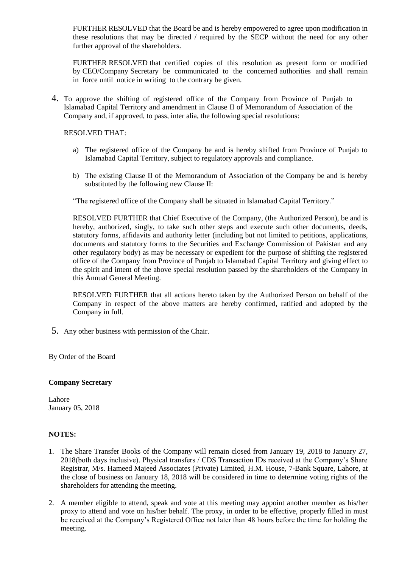FURTHER RESOLVED that the Board be and is hereby empowered to agree upon modification in these resolutions that may be directed / required by the SECP without the need for any other further approval of the shareholders.

FURTHER RESOLVED that certified copies of this resolution as present form or modified by CEO/Company Secretary be communicated to the concerned authorities and shall remain in force until notice in writing to the contrary be given.

4. To approve the shifting of registered office of the Company from Province of Punjab to Islamabad Capital Territory and amendment in Clause II of Memorandum of Association of the Company and, if approved, to pass, inter alia, the following special resolutions:

RESOLVED THAT:

- a) The registered office of the Company be and is hereby shifted from Province of Punjab to Islamabad Capital Territory, subject to regulatory approvals and compliance.
- b) The existing Clause II of the Memorandum of Association of the Company be and is hereby substituted by the following new Clause II:

"The registered office of the Company shall be situated in Islamabad Capital Territory."

RESOLVED FURTHER that Chief Executive of the Company, (the Authorized Person), be and is hereby, authorized, singly, to take such other steps and execute such other documents, deeds, statutory forms, affidavits and authority letter (including but not limited to petitions, applications, documents and statutory forms to the Securities and Exchange Commission of Pakistan and any other regulatory body) as may be necessary or expedient for the purpose of shifting the registered office of the Company from Province of Punjab to Islamabad Capital Territory and giving effect to the spirit and intent of the above special resolution passed by the shareholders of the Company in this Annual General Meeting.

RESOLVED FURTHER that all actions hereto taken by the Authorized Person on behalf of the Company in respect of the above matters are hereby confirmed, ratified and adopted by the Company in full.

5. Any other business with permission of the Chair.

By Order of the Board

#### **Company Secretary**

Lahore January 05, 2018

#### **NOTES:**

- 1. The Share Transfer Books of the Company will remain closed from January 19, 2018 to January 27, 2018(both days inclusive). Physical transfers / CDS Transaction IDs received at the Company's Share Registrar, M/s. Hameed Majeed Associates (Private) Limited, H.M. House, 7-Bank Square, Lahore, at the close of business on January 18, 2018 will be considered in time to determine voting rights of the shareholders for attending the meeting.
- 2. A member eligible to attend, speak and vote at this meeting may appoint another member as his/her proxy to attend and vote on his/her behalf. The proxy, in order to be effective, properly filled in must be received at the Company's Registered Office not later than 48 hours before the time for holding the meeting.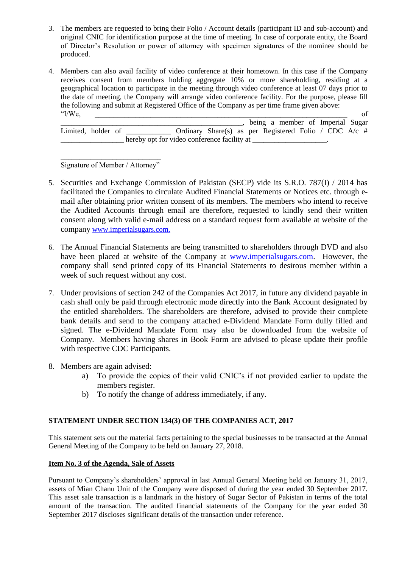- 3. The members are requested to bring their Folio / Account details (participant ID and sub-account) and original CNIC for identification purpose at the time of meeting. In case of corporate entity, the Board of Director's Resolution or power of attorney with specimen signatures of the nominee should be produced.
- 4. Members can also avail facility of video conference at their hometown. In this case if the Company receives consent from members holding aggregate 10% or more shareholding, residing at a geographical location to participate in the meeting through video conference at least 07 days prior to the date of meeting, the Company will arrange video conference facility. For the purpose, please fill the following and submit at Registered Office of the Company as per time frame given above:  $\text{if/We,}$  of

\_\_\_\_\_\_\_\_\_\_\_\_\_\_\_\_\_\_\_\_\_\_\_\_\_\_\_\_\_\_\_\_\_\_\_\_\_\_\_\_\_\_\_\_\_\_\_\_\_, being a member of Imperial Sugar Limited, holder of \_\_\_\_\_\_\_\_\_\_\_\_ Ordinary Share(s) as per Registered Folio / CDC A/c # hereby opt for video conference facility at

\_\_\_\_\_\_\_\_\_\_\_\_\_\_\_\_\_\_\_\_\_\_\_\_\_\_\_ Signature of Member / Attorney"

- 5. Securities and Exchange Commission of Pakistan (SECP) vide its S.R.O. 787(I) / 2014 has facilitated the Companies to circulate Audited Financial Statements or Notices etc. through email after obtaining prior written consent of its members. The members who intend to receive the Audited Accounts through email are therefore, requested to kindly send their written consent along with valid e-mail address on a standard request form available at website of the company [www.imperialsugars.com.](http://www.imperialsugars.com/)
- 6. The Annual Financial Statements are being transmitted to shareholders through DVD and also have been placed at website of the Company at [www.imperialsugars.com.](http://www.imperialsugars.com/) However, the company shall send printed copy of its Financial Statements to desirous member within a week of such request without any cost.
- 7. Under provisions of section 242 of the Companies Act 2017, in future any dividend payable in cash shall only be paid through electronic mode directly into the Bank Account designated by the entitled shareholders. The shareholders are therefore, advised to provide their complete bank details and send to the company attached e-Dividend Mandate Form dully filled and signed. The e-Dividend Mandate Form may also be downloaded from the website of Company. Members having shares in Book Form are advised to please update their profile with respective CDC Participants.
- 8. Members are again advised:
	- a) To provide the copies of their valid CNIC's if not provided earlier to update the members register.
	- b) To notify the change of address immediately, if any.

# **STATEMENT UNDER SECTION 134(3) OF THE COMPANIES ACT, 2017**

This statement sets out the material facts pertaining to the special businesses to be transacted at the Annual General Meeting of the Company to be held on January 27, 2018.

# **Item No. 3 of the Agenda, Sale of Assets**

Pursuant to Company's shareholders' approval in last Annual General Meeting held on January 31, 2017, assets of Mian Chanu Unit of the Company were disposed of during the year ended 30 September 2017. This asset sale transaction is a landmark in the history of Sugar Sector of Pakistan in terms of the total amount of the transaction. The audited financial statements of the Company for the year ended 30 September 2017 discloses significant details of the transaction under reference.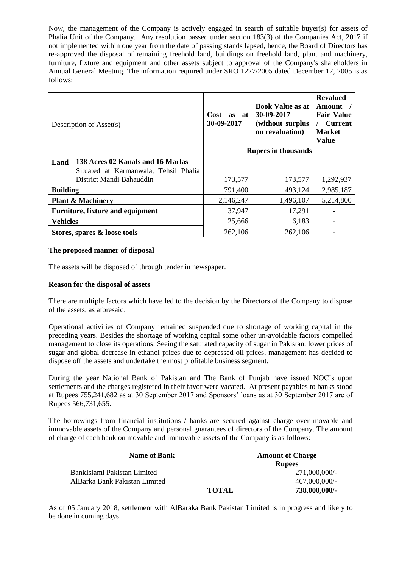Now, the management of the Company is actively engaged in search of suitable buyer(s) for assets of Phalia Unit of the Company. Any resolution passed under section 183(3) of the Companies Act, 2017 if not implemented within one year from the date of passing stands lapsed, hence, the Board of Directors has re-approved the disposal of remaining freehold land, buildings on freehold land, plant and machinery, furniture, fixture and equipment and other assets subject to approval of the Company's shareholders in Annual General Meeting. The information required under SRO 1227/2005 dated December 12, 2005 is as follows:

| Description of Asset(s)                   | Cost<br>as at<br>30-09-2017 | <b>Book Value as at</b><br>30-09-2017<br>(without surplus<br>on revaluation) | <b>Revalued</b><br>Amount<br><b>Fair Value</b><br><b>Current</b><br><b>Market</b><br><b>Value</b> |
|-------------------------------------------|-----------------------------|------------------------------------------------------------------------------|---------------------------------------------------------------------------------------------------|
|                                           | <b>Rupees in thousands</b>  |                                                                              |                                                                                                   |
| 138 Acres 02 Kanals and 16 Marlas<br>Land |                             |                                                                              |                                                                                                   |
| Situated at Karmanwala, Tehsil Phalia     |                             |                                                                              |                                                                                                   |
| District Mandi Bahauddin                  | 173,577                     | 173,577                                                                      | 1,292,937                                                                                         |
| <b>Building</b>                           | 791,400                     | 493,124                                                                      | 2,985,187                                                                                         |
| <b>Plant &amp; Machinery</b>              | 2,146,247                   | 1,496,107                                                                    | 5,214,800                                                                                         |
| <b>Furniture, fixture and equipment</b>   | 37,947                      | 17,291                                                                       |                                                                                                   |
| <b>Vehicles</b>                           | 25,666                      | 6,183                                                                        |                                                                                                   |
| Stores, spares & loose tools              | 262,106                     | 262,106                                                                      |                                                                                                   |

#### **The proposed manner of disposal**

The assets will be disposed of through tender in newspaper.

### **Reason for the disposal of assets**

There are multiple factors which have led to the decision by the Directors of the Company to dispose of the assets, as aforesaid.

Operational activities of Company remained suspended due to shortage of working capital in the preceding years. Besides the shortage of working capital some other un-avoidable factors compelled management to close its operations. Seeing the saturated capacity of sugar in Pakistan, lower prices of sugar and global decrease in ethanol prices due to depressed oil prices, management has decided to dispose off the assets and undertake the most profitable business segment.

During the year National Bank of Pakistan and The Bank of Punjab have issued NOC's upon settlements and the charges registered in their favor were vacated. At present payables to banks stood at Rupees 755,241,682 as at 30 September 2017 and Sponsors' loans as at 30 September 2017 are of Rupees 566,731,655.

The borrowings from financial institutions / banks are secured against charge over movable and immovable assets of the Company and personal guarantees of directors of the Company. The amount of charge of each bank on movable and immovable assets of the Company is as follows:

| <b>Name of Bank</b>           |              | <b>Amount of Charge</b><br><b>Rupees</b> |
|-------------------------------|--------------|------------------------------------------|
| BankIslami Pakistan Limited   |              | 271,000,000/-                            |
| AlBarka Bank Pakistan Limited |              | 467,000,000/-                            |
|                               | <b>TOTAL</b> | 738,000,000/-                            |

As of 05 January 2018, settlement with AlBaraka Bank Pakistan Limited is in progress and likely to be done in coming days.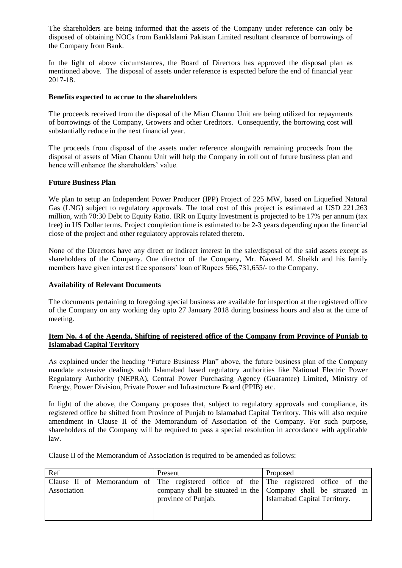The shareholders are being informed that the assets of the Company under reference can only be disposed of obtaining NOCs from BankIslami Pakistan Limited resultant clearance of borrowings of the Company from Bank.

In the light of above circumstances, the Board of Directors has approved the disposal plan as mentioned above. The disposal of assets under reference is expected before the end of financial year 2017-18.

#### **Benefits expected to accrue to the shareholders**

The proceeds received from the disposal of the Mian Channu Unit are being utilized for repayments of borrowings of the Company, Growers and other Creditors. Consequently, the borrowing cost will substantially reduce in the next financial year.

The proceeds from disposal of the assets under reference alongwith remaining proceeds from the disposal of assets of Mian Channu Unit will help the Company in roll out of future business plan and hence will enhance the shareholders' value.

#### **Future Business Plan**

We plan to setup an Independent Power Producer (IPP) Project of 225 MW, based on Liquefied Natural Gas (LNG) subject to regulatory approvals. The total cost of this project is estimated at USD 221.263 million, with 70:30 Debt to Equity Ratio. IRR on Equity Investment is projected to be 17% per annum (tax free) in US Dollar terms. Project completion time is estimated to be 2-3 years depending upon the financial close of the project and other regulatory approvals related thereto.

None of the Directors have any direct or indirect interest in the sale/disposal of the said assets except as shareholders of the Company. One director of the Company, Mr. Naveed M. Sheikh and his family members have given interest free sponsors' loan of Rupees 566,731,655/- to the Company.

#### **Availability of Relevant Documents**

The documents pertaining to foregoing special business are available for inspection at the registered office of the Company on any working day upto 27 January 2018 during business hours and also at the time of meeting.

# **Item No. 4 of the Agenda, Shifting of registered office of the Company from Province of Punjab to Islamabad Capital Territory**

As explained under the heading "Future Business Plan" above, the future business plan of the Company mandate extensive dealings with Islamabad based regulatory authorities like National Electric Power Regulatory Authority (NEPRA), Central Power Purchasing Agency (Guarantee) Limited, Ministry of Energy, Power Division, Private Power and Infrastructure Board (PPIB) etc.

In light of the above, the Company proposes that, subject to regulatory approvals and compliance, its registered office be shifted from Province of Punjab to Islamabad Capital Territory. This will also require amendment in Clause II of the Memorandum of Association of the Company. For such purpose, shareholders of the Company will be required to pass a special resolution in accordance with applicable law.

Clause II of the Memorandum of Association is required to be amended as follows:

| Ref         | Present             | Proposed                                                                             |  |
|-------------|---------------------|--------------------------------------------------------------------------------------|--|
|             |                     | Clause II of Memorandum of The registered office of the The registered office of the |  |
| Association |                     | company shall be situated in the Company shall be situated in                        |  |
|             | province of Punjab. | Islamabad Capital Territory.                                                         |  |
|             |                     |                                                                                      |  |
|             |                     |                                                                                      |  |